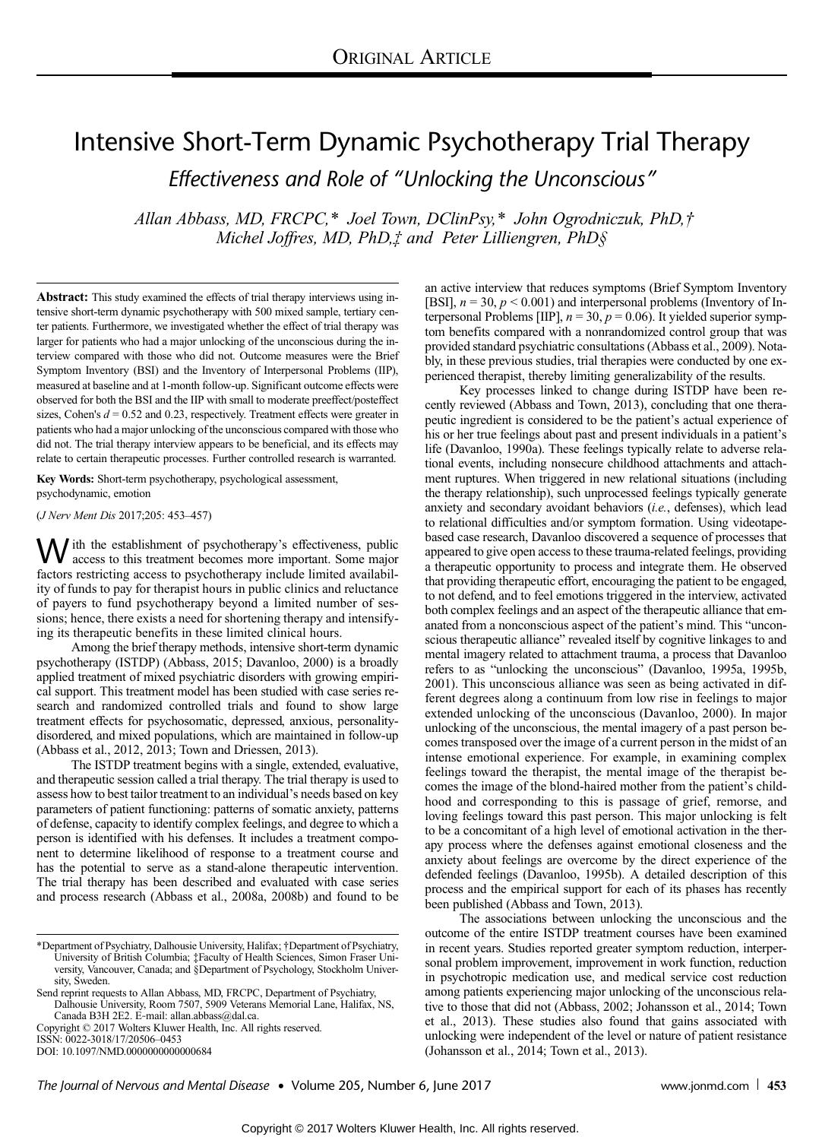# Intensive Short-Term Dynamic Psychotherapy Trial Therapy Effectiveness and Role of "Unlocking the Unconscious"

Allan Abbass, MD, FRCPC,\* Joel Town, DClinPsy,\* John Ogrodniczuk, PhD,† Michel Joffres, MD, PhD, t and Peter Lilliengren, PhD §

Abstract: This study examined the effects of trial therapy interviews using intensive short-term dynamic psychotherapy with 500 mixed sample, tertiary center patients. Furthermore, we investigated whether the effect of trial therapy was larger for patients who had a major unlocking of the unconscious during the interview compared with those who did not. Outcome measures were the Brief Symptom Inventory (BSI) and the Inventory of Interpersonal Problems (IIP), measured at baseline and at 1-month follow-up. Significant outcome effects were observed for both the BSI and the IIP with small to moderate preeffect/posteffect sizes, Cohen's  $d = 0.52$  and 0.23, respectively. Treatment effects were greater in patients who had a major unlocking of the unconscious compared with those who did not. The trial therapy interview appears to be beneficial, and its effects may relate to certain therapeutic processes. Further controlled research is warranted.

Key Words: Short-term psychotherapy, psychological assessment, psychodynamic, emotion

(J Nerv Ment Dis 2017;205: 453–457)

W ith the establishment of psychotherapy's effectiveness, public<br>access to this treatment becomes more important. Some major factors restricting access to psychotherapy include limited availability of funds to pay for therapist hours in public clinics and reluctance of payers to fund psychotherapy beyond a limited number of sessions; hence, there exists a need for shortening therapy and intensifying its therapeutic benefits in these limited clinical hours.

Among the brief therapy methods, intensive short-term dynamic psychotherapy (ISTDP) (Abbass, 2015; Davanloo, 2000) is a broadly applied treatment of mixed psychiatric disorders with growing empirical support. This treatment model has been studied with case series research and randomized controlled trials and found to show large treatment effects for psychosomatic, depressed, anxious, personalitydisordered, and mixed populations, which are maintained in follow-up (Abbass et al., 2012, 2013; Town and Driessen, 2013).

The ISTDP treatment begins with a single, extended, evaluative, and therapeutic session called a trial therapy. The trial therapy is used to assess how to best tailor treatment to an individual's needs based on key parameters of patient functioning: patterns of somatic anxiety, patterns of defense, capacity to identify complex feelings, and degree to which a person is identified with his defenses. It includes a treatment component to determine likelihood of response to a treatment course and has the potential to serve as a stand-alone therapeutic intervention. The trial therapy has been described and evaluated with case series and process research (Abbass et al., 2008a, 2008b) and found to be

ISSN: 0022-3018/17/20506–0453

DOI: 10.1097/NMD.0000000000000684

an active interview that reduces symptoms (Brief Symptom Inventory [BSI],  $n = 30$ ,  $p < 0.001$ ) and interpersonal problems (Inventory of Interpersonal Problems [IIP],  $n = 30$ ,  $p = 0.06$ ). It yielded superior symptom benefits compared with a nonrandomized control group that was provided standard psychiatric consultations (Abbass et al., 2009). Notably, in these previous studies, trial therapies were conducted by one experienced therapist, thereby limiting generalizability of the results.

Key processes linked to change during ISTDP have been recently reviewed (Abbass and Town, 2013), concluding that one therapeutic ingredient is considered to be the patient's actual experience of his or her true feelings about past and present individuals in a patient's life (Davanloo, 1990a). These feelings typically relate to adverse relational events, including nonsecure childhood attachments and attachment ruptures. When triggered in new relational situations (including the therapy relationship), such unprocessed feelings typically generate anxiety and secondary avoidant behaviors (i.e., defenses), which lead to relational difficulties and/or symptom formation. Using videotapebased case research, Davanloo discovered a sequence of processes that appeared to give open access to these trauma-related feelings, providing a therapeutic opportunity to process and integrate them. He observed that providing therapeutic effort, encouraging the patient to be engaged, to not defend, and to feel emotions triggered in the interview, activated both complex feelings and an aspect of the therapeutic alliance that emanated from a nonconscious aspect of the patient's mind. This "unconscious therapeutic alliance" revealed itself by cognitive linkages to and mental imagery related to attachment trauma, a process that Davanloo refers to as "unlocking the unconscious" (Davanloo, 1995a, 1995b, 2001). This unconscious alliance was seen as being activated in different degrees along a continuum from low rise in feelings to major extended unlocking of the unconscious (Davanloo, 2000). In major unlocking of the unconscious, the mental imagery of a past person becomes transposed over the image of a current person in the midst of an intense emotional experience. For example, in examining complex feelings toward the therapist, the mental image of the therapist becomes the image of the blond-haired mother from the patient's childhood and corresponding to this is passage of grief, remorse, and loving feelings toward this past person. This major unlocking is felt to be a concomitant of a high level of emotional activation in the therapy process where the defenses against emotional closeness and the anxiety about feelings are overcome by the direct experience of the defended feelings (Davanloo, 1995b). A detailed description of this process and the empirical support for each of its phases has recently been published (Abbass and Town, 2013).

The associations between unlocking the unconscious and the outcome of the entire ISTDP treatment courses have been examined in recent years. Studies reported greater symptom reduction, interpersonal problem improvement, improvement in work function, reduction in psychotropic medication use, and medical service cost reduction among patients experiencing major unlocking of the unconscious relative to those that did not (Abbass, 2002; Johansson et al., 2014; Town et al., 2013). These studies also found that gains associated with unlocking were independent of the level or nature of patient resistance (Johansson et al., 2014; Town et al., 2013).

<sup>\*</sup>Department of Psychiatry, Dalhousie University, Halifax; †Department of Psychiatry, University of British Columbia; ‡Faculty of Health Sciences, Simon Fraser University, Vancouver, Canada; and §Department of Psychology, Stockholm University, Sweden.

Send reprint requests to Allan Abbass, MD, FRCPC, Department of Psychiatry, Dalhousie University, Room 7507, 5909 Veterans Memorial Lane, Halifax, NS,

Canada B3H 2E2. E‐mail: [allan.abbass@dal.ca](mailto:allan.abbass@dal.ca). Copyright © 2017 Wolters Kluwer Health, Inc. All rights reserved.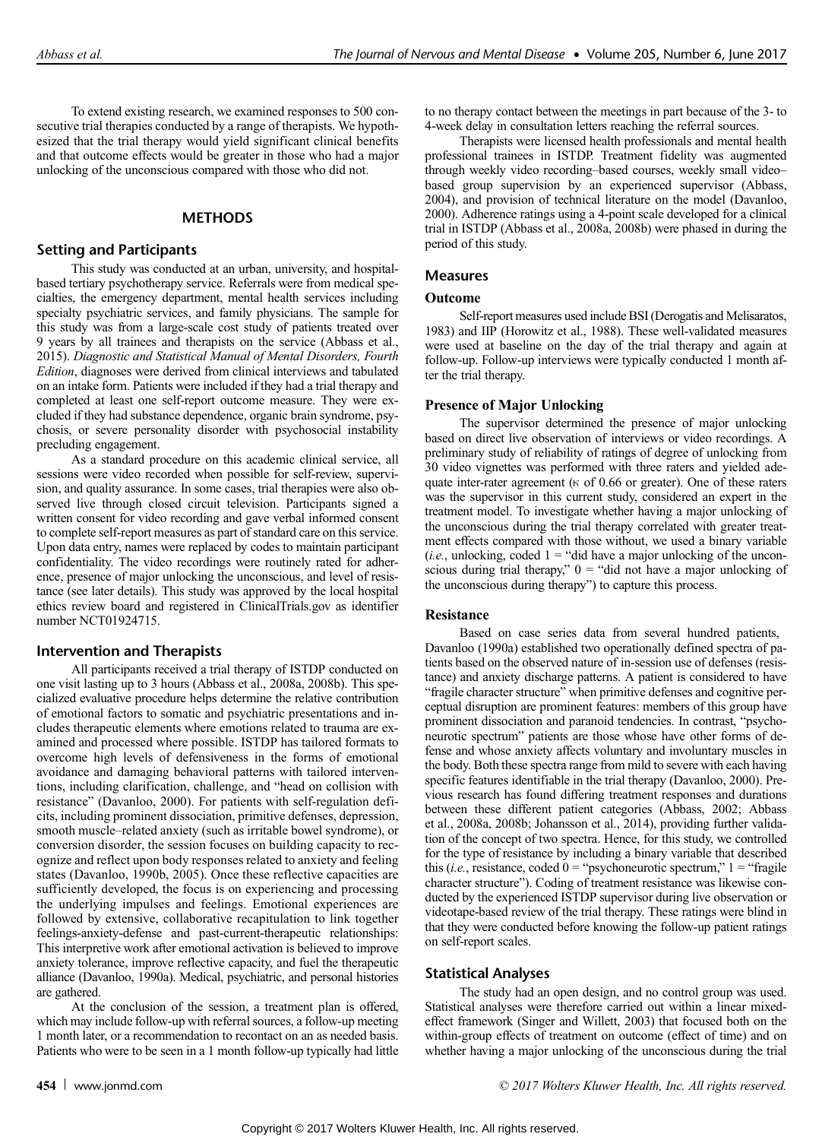To extend existing research, we examined responses to 500 consecutive trial therapies conducted by a range of therapists. We hypothesized that the trial therapy would yield significant clinical benefits and that outcome effects would be greater in those who had a major unlocking of the unconscious compared with those who did not.

# **METHODS**

# Setting and Participants

This study was conducted at an urban, university, and hospitalbased tertiary psychotherapy service. Referrals were from medical specialties, the emergency department, mental health services including specialty psychiatric services, and family physicians. The sample for this study was from a large-scale cost study of patients treated over 9 years by all trainees and therapists on the service (Abbass et al., 2015). Diagnostic and Statistical Manual of Mental Disorders, Fourth Edition, diagnoses were derived from clinical interviews and tabulated on an intake form. Patients were included if they had a trial therapy and completed at least one self-report outcome measure. They were excluded if they had substance dependence, organic brain syndrome, psychosis, or severe personality disorder with psychosocial instability precluding engagement.

As a standard procedure on this academic clinical service, all sessions were video recorded when possible for self-review, supervision, and quality assurance. In some cases, trial therapies were also observed live through closed circuit television. Participants signed a written consent for video recording and gave verbal informed consent to complete self-report measures as part of standard care on this service. Upon data entry, names were replaced by codes to maintain participant confidentiality. The video recordings were routinely rated for adherence, presence of major unlocking the unconscious, and level of resistance (see later details). This study was approved by the local hospital ethics review board and registered in ClinicalTrials.gov as identifier number NCT01924715.

## Intervention and Therapists

All participants received a trial therapy of ISTDP conducted on one visit lasting up to 3 hours (Abbass et al., 2008a, 2008b). This specialized evaluative procedure helps determine the relative contribution of emotional factors to somatic and psychiatric presentations and includes therapeutic elements where emotions related to trauma are examined and processed where possible. ISTDP has tailored formats to overcome high levels of defensiveness in the forms of emotional avoidance and damaging behavioral patterns with tailored interventions, including clarification, challenge, and "head on collision with resistance" (Davanloo, 2000). For patients with self-regulation deficits, including prominent dissociation, primitive defenses, depression, smooth muscle–related anxiety (such as irritable bowel syndrome), or conversion disorder, the session focuses on building capacity to recognize and reflect upon body responses related to anxiety and feeling states (Davanloo, 1990b, 2005). Once these reflective capacities are sufficiently developed, the focus is on experiencing and processing the underlying impulses and feelings. Emotional experiences are followed by extensive, collaborative recapitulation to link together feelings-anxiety-defense and past-current-therapeutic relationships: This interpretive work after emotional activation is believed to improve anxiety tolerance, improve reflective capacity, and fuel the therapeutic alliance (Davanloo, 1990a). Medical, psychiatric, and personal histories are gathered.

At the conclusion of the session, a treatment plan is offered, which may include follow-up with referral sources, a follow-up meeting 1 month later, or a recommendation to recontact on an as needed basis. Patients who were to be seen in a 1 month follow-up typically had little to no therapy contact between the meetings in part because of the 3- to 4-week delay in consultation letters reaching the referral sources.

Therapists were licensed health professionals and mental health professional trainees in ISTDP. Treatment fidelity was augmented through weekly video recording–based courses, weekly small video– based group supervision by an experienced supervisor (Abbass, 2004), and provision of technical literature on the model (Davanloo, 2000). Adherence ratings using a 4-point scale developed for a clinical trial in ISTDP (Abbass et al., 2008a, 2008b) were phased in during the period of this study.

# **Measures**

## Outcome

Self-report measures used include BSI (Derogatis and Melisaratos, 1983) and IIP (Horowitz et al., 1988). These well-validated measures were used at baseline on the day of the trial therapy and again at follow-up. Follow-up interviews were typically conducted 1 month after the trial therapy.

## Presence of Major Unlocking

The supervisor determined the presence of major unlocking based on direct live observation of interviews or video recordings. A preliminary study of reliability of ratings of degree of unlocking from 30 video vignettes was performed with three raters and yielded adequate inter-rater agreement ( $\kappa$  of 0.66 or greater). One of these raters was the supervisor in this current study, considered an expert in the treatment model. To investigate whether having a major unlocking of the unconscious during the trial therapy correlated with greater treatment effects compared with those without, we used a binary variable (*i.e.*, unlocking, coded  $1 =$  "did have a major unlocking of the unconscious during trial therapy,"  $0 =$  "did not have a major unlocking of the unconscious during therapy") to capture this process.

## **Resistance**

Based on case series data from several hundred patients, Davanloo (1990a) established two operationally defined spectra of patients based on the observed nature of in-session use of defenses (resistance) and anxiety discharge patterns. A patient is considered to have "fragile character structure" when primitive defenses and cognitive perceptual disruption are prominent features: members of this group have prominent dissociation and paranoid tendencies. In contrast, "psychoneurotic spectrum" patients are those whose have other forms of defense and whose anxiety affects voluntary and involuntary muscles in the body. Both these spectra range from mild to severe with each having specific features identifiable in the trial therapy (Davanloo, 2000). Previous research has found differing treatment responses and durations between these different patient categories (Abbass, 2002; Abbass et al., 2008a, 2008b; Johansson et al., 2014), providing further validation of the concept of two spectra. Hence, for this study, we controlled for the type of resistance by including a binary variable that described this (*i.e.*, resistance, coded  $0 =$  "psychoneurotic spectrum,"  $1 =$  "fragile" character structure"). Coding of treatment resistance was likewise conducted by the experienced ISTDP supervisor during live observation or videotape-based review of the trial therapy. These ratings were blind in that they were conducted before knowing the follow-up patient ratings on self-report scales.

## Statistical Analyses

The study had an open design, and no control group was used. Statistical analyses were therefore carried out within a linear mixedeffect framework (Singer and Willett, 2003) that focused both on the within-group effects of treatment on outcome (effect of time) and on whether having a major unlocking of the unconscious during the trial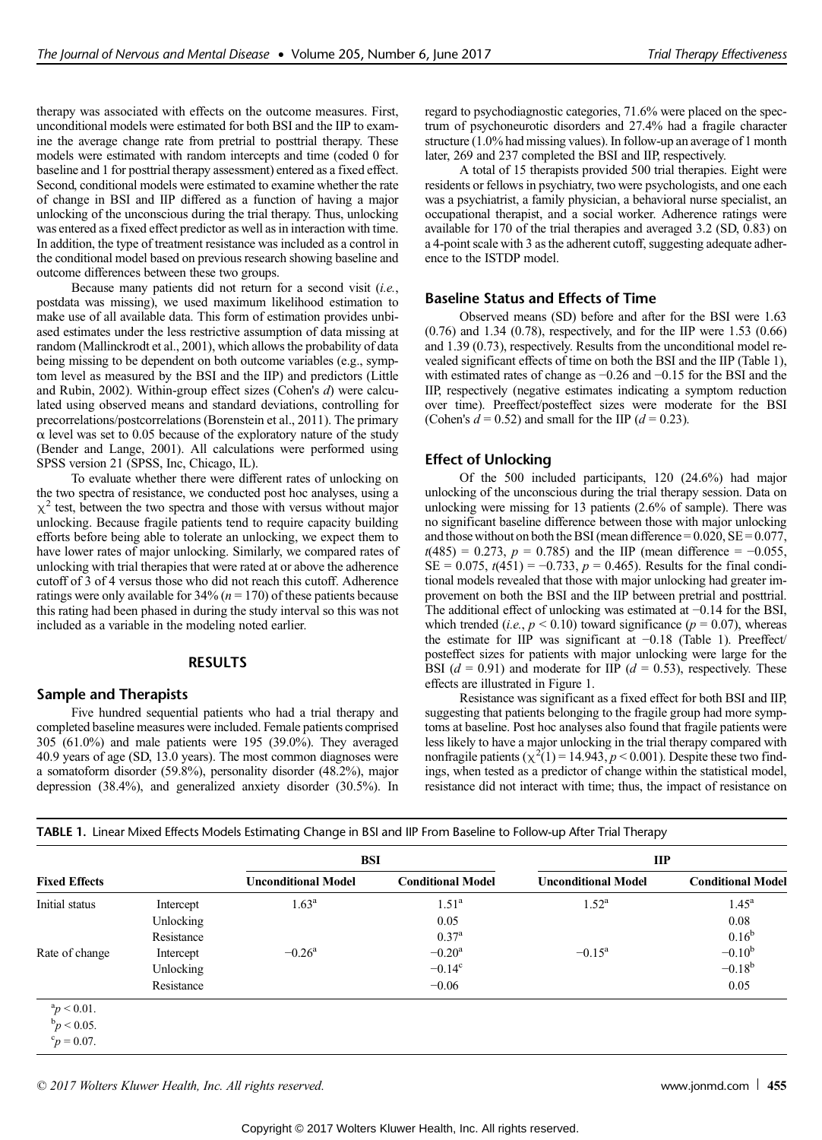therapy was associated with effects on the outcome measures. First, unconditional models were estimated for both BSI and the IIP to examine the average change rate from pretrial to posttrial therapy. These models were estimated with random intercepts and time (coded 0 for baseline and 1 for posttrial therapy assessment) entered as a fixed effect. Second, conditional models were estimated to examine whether the rate of change in BSI and IIP differed as a function of having a major unlocking of the unconscious during the trial therapy. Thus, unlocking was entered as a fixed effect predictor as well as in interaction with time. In addition, the type of treatment resistance was included as a control in the conditional model based on previous research showing baseline and outcome differences between these two groups.

Because many patients did not return for a second visit (i.e., postdata was missing), we used maximum likelihood estimation to make use of all available data. This form of estimation provides unbiased estimates under the less restrictive assumption of data missing at random (Mallinckrodt et al., 2001), which allows the probability of data being missing to be dependent on both outcome variables (e.g., symptom level as measured by the BSI and the IIP) and predictors (Little and Rubin, 2002). Within-group effect sizes (Cohen's d) were calculated using observed means and standard deviations, controlling for precorrelations/postcorrelations (Borenstein et al., 2011). The primary  $\alpha$  level was set to 0.05 because of the exploratory nature of the study (Bender and Lange, 2001). All calculations were performed using SPSS version 21 (SPSS, Inc, Chicago, IL).

To evaluate whether there were different rates of unlocking on the two spectra of resistance, we conducted post hoc analyses, using a  $\chi^2$  test, between the two spectra and those with versus without major unlocking. Because fragile patients tend to require capacity building efforts before being able to tolerate an unlocking, we expect them to have lower rates of major unlocking. Similarly, we compared rates of unlocking with trial therapies that were rated at or above the adherence cutoff of 3 of 4 versus those who did not reach this cutoff. Adherence ratings were only available for  $34\%$  ( $n = 170$ ) of these patients because this rating had been phased in during the study interval so this was not included as a variable in the modeling noted earlier.

## **RESULTS**

#### Sample and Therapists

Five hundred sequential patients who had a trial therapy and completed baseline measures were included. Female patients comprised 305 (61.0%) and male patients were 195 (39.0%). They averaged 40.9 years of age (SD, 13.0 years). The most common diagnoses were a somatoform disorder (59.8%), personality disorder (48.2%), major depression (38.4%), and generalized anxiety disorder (30.5%). In regard to psychodiagnostic categories, 71.6% were placed on the spectrum of psychoneurotic disorders and 27.4% had a fragile character structure (1.0% had missing values). In follow-up an average of 1 month later, 269 and 237 completed the BSI and IIP, respectively.

A total of 15 therapists provided 500 trial therapies. Eight were residents or fellows in psychiatry, two were psychologists, and one each was a psychiatrist, a family physician, a behavioral nurse specialist, an occupational therapist, and a social worker. Adherence ratings were available for 170 of the trial therapies and averaged 3.2 (SD, 0.83) on a 4-point scale with 3 as the adherent cutoff, suggesting adequate adherence to the ISTDP model.

# Baseline Status and Effects of Time

Observed means (SD) before and after for the BSI were 1.63 (0.76) and 1.34 (0.78), respectively, and for the IIP were 1.53 (0.66) and 1.39 (0.73), respectively. Results from the unconditional model revealed significant effects of time on both the BSI and the IIP (Table 1), with estimated rates of change as −0.26 and −0.15 for the BSI and the IIP, respectively (negative estimates indicating a symptom reduction over time). Preeffect/posteffect sizes were moderate for the BSI (Cohen's  $d = 0.52$ ) and small for the IIP ( $d = 0.23$ ).

# Effect of Unlocking

Of the 500 included participants, 120 (24.6%) had major unlocking of the unconscious during the trial therapy session. Data on unlocking were missing for 13 patients (2.6% of sample). There was no significant baseline difference between those with major unlocking and those without on both the BSI (mean difference =  $0.020$ , SE =  $0.077$ ,  $t(485) = 0.273$ ,  $p = 0.785$ ) and the IIP (mean difference = -0.055, SE = 0.075,  $t(451) = -0.733$ ,  $p = 0.465$ ). Results for the final conditional models revealed that those with major unlocking had greater improvement on both the BSI and the IIP between pretrial and posttrial. The additional effect of unlocking was estimated at −0.14 for the BSI, which trended (*i.e.*,  $p < 0.10$ ) toward significance ( $p = 0.07$ ), whereas the estimate for IIP was significant at −0.18 (Table 1). Preeffect/ posteffect sizes for patients with major unlocking were large for the BSI ( $d = 0.91$ ) and moderate for IIP ( $d = 0.53$ ), respectively. These effects are illustrated in Figure 1.

Resistance was significant as a fixed effect for both BSI and IIP, suggesting that patients belonging to the fragile group had more symptoms at baseline. Post hoc analyses also found that fragile patients were less likely to have a major unlocking in the trial therapy compared with nonfragile patients  $(\chi^2(1)) = 14.943$ ,  $p < 0.001$ ). Despite these two findings, when tested as a predictor of change within the statistical model, resistance did not interact with time; thus, the impact of resistance on

| TABLE 1. Linear Mixed Effects Models Estimating Change in BSI and IIP From Baseline to Follow-up After Trial Therapy |  |  |  |
|----------------------------------------------------------------------------------------------------------------------|--|--|--|
|                                                                                                                      |  |  |  |

|                      |            | <b>BSI</b>                 |                          | $\mathbf{H}$               |                          |  |
|----------------------|------------|----------------------------|--------------------------|----------------------------|--------------------------|--|
| <b>Fixed Effects</b> |            | <b>Unconditional Model</b> | <b>Conditional Model</b> | <b>Unconditional Model</b> | <b>Conditional Model</b> |  |
| Initial status       | Intercept  | 1.63 <sup>a</sup>          | 1.51 <sup>a</sup>        | $1.52^{\rm a}$             | 1.45 <sup>a</sup>        |  |
|                      | Unlocking  |                            | 0.05                     |                            | 0.08                     |  |
|                      | Resistance |                            | $0.37^{\rm a}$           |                            | $0.16^{b}$               |  |
| Rate of change       | Intercept  | $-0.26^{\rm a}$            | $-0.20^{\rm a}$          | $-0.15^{\rm a}$            | $-0.10^{b}$              |  |
|                      | Unlocking  |                            | $-0.14^c$                |                            | $-0.18^{b}$              |  |
|                      | Resistance |                            | $-0.06$                  |                            | 0.05                     |  |
| ${}^{a}p$ < 0.01.    |            |                            |                          |                            |                          |  |
| $\rm{^b}p < 0.05$ .  |            |                            |                          |                            |                          |  |
| ${}^c p = 0.07$ .    |            |                            |                          |                            |                          |  |

© 2017 Wolters Kluwer Health, Inc. All rights reserved. [www.jonmd.com](http://www.jonmd.com) 455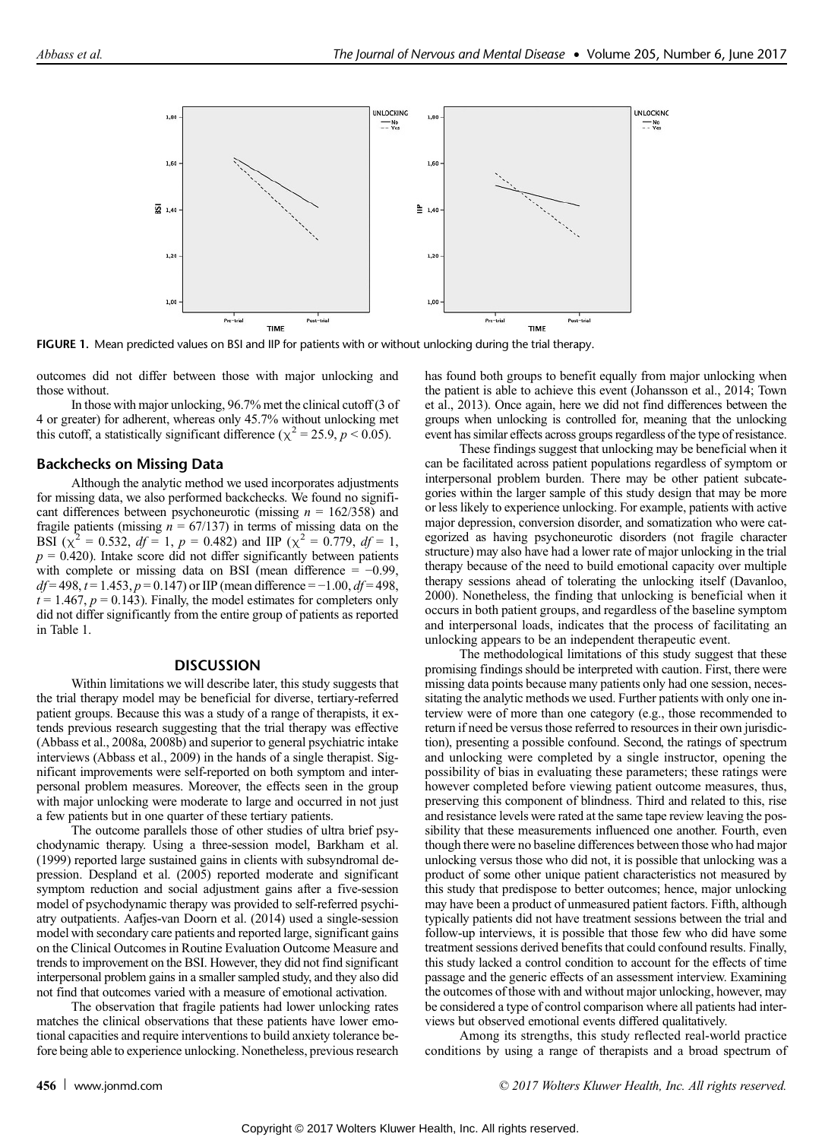

FIGURE 1. Mean predicted values on BSI and IIP for patients with or without unlocking during the trial therapy.

outcomes did not differ between those with major unlocking and those without.

In those with major unlocking, 96.7% met the clinical cutoff (3 of 4 or greater) for adherent, whereas only 45.7% without unlocking met this cutoff, a statistically significant difference ( $\chi^2$  = 25.9, p < 0.05).

#### Backchecks on Missing Data

Although the analytic method we used incorporates adjustments for missing data, we also performed backchecks. We found no significant differences between psychoneurotic (missing  $n = 162/358$ ) and fragile patients (missing  $n = 67/137$ ) in terms of missing data on the BSI ( $\chi^2 = 0.532$ ,  $df = 1$ ,  $p = 0.482$ ) and IIP ( $\chi^2 = 0.779$ ,  $df = 1$ ,  $p = 0.420$ ). Intake score did not differ significantly between patients with complete or missing data on BSI (mean difference =  $-0.99$ ,  $df = 498$ ,  $t = 1.453$ ,  $p = 0.147$ ) or IIP (mean difference = -1.00,  $df = 498$ ,  $t = 1.467$ ,  $p = 0.143$ ). Finally, the model estimates for completers only did not differ significantly from the entire group of patients as reported in Table 1.

#### **DISCUSSION**

Within limitations we will describe later, this study suggests that the trial therapy model may be beneficial for diverse, tertiary-referred patient groups. Because this was a study of a range of therapists, it extends previous research suggesting that the trial therapy was effective (Abbass et al., 2008a, 2008b) and superior to general psychiatric intake interviews (Abbass et al., 2009) in the hands of a single therapist. Significant improvements were self-reported on both symptom and interpersonal problem measures. Moreover, the effects seen in the group with major unlocking were moderate to large and occurred in not just a few patients but in one quarter of these tertiary patients.

The outcome parallels those of other studies of ultra brief psychodynamic therapy. Using a three-session model, Barkham et al. (1999) reported large sustained gains in clients with subsyndromal depression. Despland et al. (2005) reported moderate and significant symptom reduction and social adjustment gains after a five-session model of psychodynamic therapy was provided to self-referred psychiatry outpatients. Aafjes-van Doorn et al. (2014) used a single-session model with secondary care patients and reported large, significant gains on the Clinical Outcomes in Routine Evaluation Outcome Measure and trends to improvement on the BSI. However, they did not find significant interpersonal problem gains in a smaller sampled study, and they also did not find that outcomes varied with a measure of emotional activation.

The observation that fragile patients had lower unlocking rates matches the clinical observations that these patients have lower emotional capacities and require interventions to build anxiety tolerance before being able to experience unlocking. Nonetheless, previous research has found both groups to benefit equally from major unlocking when the patient is able to achieve this event (Johansson et al., 2014; Town et al., 2013). Once again, here we did not find differences between the groups when unlocking is controlled for, meaning that the unlocking event has similar effects across groups regardless of the type of resistance.

These findings suggest that unlocking may be beneficial when it can be facilitated across patient populations regardless of symptom or interpersonal problem burden. There may be other patient subcategories within the larger sample of this study design that may be more or less likely to experience unlocking. For example, patients with active major depression, conversion disorder, and somatization who were categorized as having psychoneurotic disorders (not fragile character structure) may also have had a lower rate of major unlocking in the trial therapy because of the need to build emotional capacity over multiple therapy sessions ahead of tolerating the unlocking itself (Davanloo, 2000). Nonetheless, the finding that unlocking is beneficial when it occurs in both patient groups, and regardless of the baseline symptom and interpersonal loads, indicates that the process of facilitating an unlocking appears to be an independent therapeutic event.

The methodological limitations of this study suggest that these promising findings should be interpreted with caution. First, there were missing data points because many patients only had one session, necessitating the analytic methods we used. Further patients with only one interview were of more than one category (e.g., those recommended to return if need be versus those referred to resources in their own jurisdiction), presenting a possible confound. Second, the ratings of spectrum and unlocking were completed by a single instructor, opening the possibility of bias in evaluating these parameters; these ratings were however completed before viewing patient outcome measures, thus, preserving this component of blindness. Third and related to this, rise and resistance levels were rated at the same tape review leaving the possibility that these measurements influenced one another. Fourth, even though there were no baseline differences between those who had major unlocking versus those who did not, it is possible that unlocking was a product of some other unique patient characteristics not measured by this study that predispose to better outcomes; hence, major unlocking may have been a product of unmeasured patient factors. Fifth, although typically patients did not have treatment sessions between the trial and follow-up interviews, it is possible that those few who did have some treatment sessions derived benefits that could confound results. Finally, this study lacked a control condition to account for the effects of time passage and the generic effects of an assessment interview. Examining the outcomes of those with and without major unlocking, however, may be considered a type of control comparison where all patients had interviews but observed emotional events differed qualitatively.

Among its strengths, this study reflected real-world practice conditions by using a range of therapists and a broad spectrum of

456 [www.jonmd.com](http://www.jonmd.com) example and the community of  $\degree$  2017 Wolters Kluwer Health, Inc. All rights reserved.